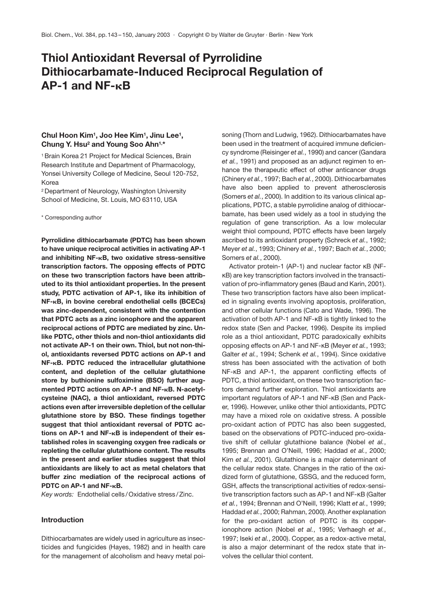# **Thiol Antioxidant Reversal of Pyrrolidine Dithiocarbamate-Induced Reciprocal Regulation of AP-1 and NF-κB**

# **Chul Hoon Kim1, Joo Hee Kim1, Jinu Lee1, Chung Y. Hsu2 and Young Soo Ahn1,\***

1 Brain Korea 21 Project for Medical Sciences, Brain Research Institute and Department of Pharmacology, Yonsei University College of Medicine, Seoul 120-752, Korea

2 Department of Neurology, Washington University School of Medicine, St. Louis, MO 63110, USA

\* Corresponding author

**Pyrrolidine dithiocarbamate (PDTC) has been shown to have unique reciprocal activities in activating AP-1** and inhibiting NF-<sub>K</sub>B, two oxidative stress-sensitive **transcription factors. The opposing effects of PDTC on these two transcription factors have been attributed to its thiol antioxidant properties. In the present study, PDTC activation of AP-1, like its inhibition of NF-**-**B, in bovine cerebral endothelial cells (BCECs) was zinc-dependent, consistent with the contention that PDTC acts as a zinc ionophore and the apparent reciprocal actions of PDTC are mediated by zinc. Unlike PDTC, other thiols and non-thiol antioxidants did not activate AP-1 on their own. Thiol, but not non-thiol, antioxidants reversed PDTC actions on AP-1 and NF-**-**B. PDTC reduced the intracellular glutathione content, and depletion of the cellular glutathione store by buthionine sulfoximine (BSO) further aug**mented PDTC actions on AP-1 and NF-<sub>K</sub>B. N-acetyl**cysteine (NAC), a thiol antioxidant, reversed PDTC actions even after irreversible depletion of the cellular glutathione store by BSO. These findings together suggest that thiol antioxidant reversal of PDTC ac**tions on AP-1 and NF-<sub>K</sub>B is independent of their es**tablished roles in scavenging oxygen free radicals or repleting the cellular glutathione content. The results in the present and earlier studies suggest that thiol antioxidants are likely to act as metal chelators that buffer zinc mediation of the reciprocal actions of** PDTC on AP-1 and NF-<sub>K</sub>B.

*Key words:* Endothelial cells /Oxidative stress /Zinc.

## **Introduction**

Dithiocarbamates are widely used in agriculture as insecticides and fungicides (Hayes, 1982) and in health care for the management of alcoholism and heavy metal poisoning (Thorn and Ludwig, 1962). Dithiocarbamates have been used in the treatment of acquired immune deficiency syndrome (Reisinger *et al.*, 1990) and cancer (Gandara *et al.*, 1991) and proposed as an adjunct regimen to enhance the therapeutic effect of other anticancer drugs (Chinery *et al.*, 1997; Bach *et al.*, 2000). Dithiocarbamates have also been applied to prevent atherosclerosis (Somers *et al.*, 2000). In addition to its various clinical applications, PDTC, a stable pyrrolidine analog of dithiocarbamate, has been used widely as a tool in studying the regulation of gene transcription. As a low molecular weight thiol compound, PDTC effects have been largely ascribed to its antioxidant property (Schreck *et al.*, 1992; Meyer *et al.*, 1993; Chinery *et al.*, 1997; Bach *et al.*, 2000; Somers *et al.*, 2000).

Activator protein-1 (AP-1) and nuclear factor κB (NFκB) are key transcription factors involved in the transactivation of pro-inflammatory genes (Baud and Karin, 2001). These two transcription factors have also been implicated in signaling events involving apoptosis, proliferation, and other cellular functions (Cato and Wade, 1996). The activation of both AP-1 and NF-κB is tightly linked to the redox state (Sen and Packer, 1996). Despite its implied role as a thiol antioxidant, PDTC paradoxically exhibits opposing effects on AP-1 and NF-κB (Meyer *et al.*, 1993; Galter *et al.*, 1994; Schenk *et al.*, 1994). Since oxidative stress has been associated with the activation of both NF-κB and AP-1, the apparent conflicting effects of PDTC, a thiol antioxidant, on these two transcription factors demand further exploration. Thiol antioxidants are important regulators of AP-1 and NF-κB (Sen and Packer, 1996). However, unlike other thiol antioxidants, PDTC may have a mixed role on oxidative stress. A possible pro-oxidant action of PDTC has also been suggested, based on the observations of PDTC-induced pro-oxidative shift of cellular glutathione balance (Nobel *et al.*, 1995; Brennan and O'Neill, 1996; Haddad *et al.*, 2000; Kim *et al.*, 2001). Glutathione is a major determinant of the cellular redox state. Changes in the ratio of the oxidized form of glutathione, GSSG, and the reduced form, GSH, affects the transcriptional activities of redox-sensitive transcription factors such as AP-1 and NF-κB (Galter *et al.*, 1994; Brennan and O'Neill, 1996; Klatt *et al.*, 1999; Haddad *et al.*, 2000; Rahman, 2000). Another explanation for the pro-oxidant action of PDTC is its copperionophore action (Nobel *et al.*, 1995; Verhaegh *et al.*, 1997; Iseki *et al.*, 2000). Copper, as a redox-active metal, is also a major determinant of the redox state that involves the cellular thiol content.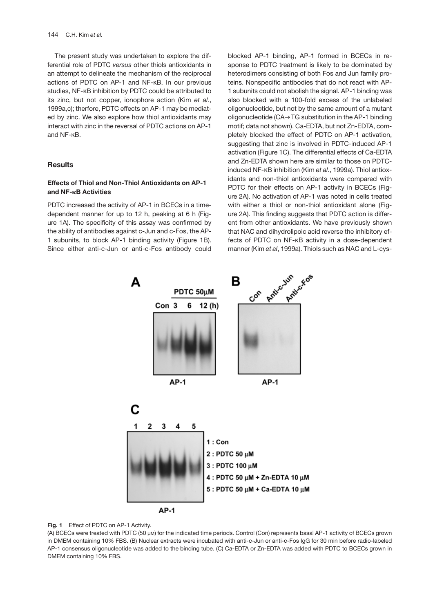The present study was undertaken to explore the differential role of PDTC *versus* other thiols antioxidants in an attempt to delineate the mechanism of the reciprocal actions of PDTC on AP-1 and NF-κB. In our previous studies, NF-κB inhibition by PDTC could be attributed to its zinc, but not copper, ionophore action (Kim *et al.*, 1999a,c); therfore, PDTC effects on AP-1 may be mediated by zinc. We also explore how thiol antioxidants may interact with zinc in the reversal of PDTC actions on AP-1 and NF-κB.

#### **Results**

## **Effects of Thiol and Non-Thiol Antioxidants on AP-1 and NF-**-**B Activities**

PDTC increased the activity of AP-1 in BCECs in a timedependent manner for up to 12 h, peaking at 6 h (Figure 1A). The specificity of this assay was confirmed by the ability of antibodies against c-Jun and c-Fos, the AP-1 subunits, to block AP-1 binding activity (Figure 1B). Since either anti-c-Jun or anti-c-Fos antibody could blocked AP-1 binding, AP-1 formed in BCECs in response to PDTC treatment is likely to be dominated by heterodimers consisting of both Fos and Jun family proteins. Nonspecific antibodies that do not react with AP-1 subunits could not abolish the signal. AP-1 binding was also blocked with a 100-fold excess of the unlabeled oligonucleotide, but not by the same amount of a mutant oligonucleotide (CA→TG substitution in the AP-1 binding motif; data not shown). Ca-EDTA, but not Zn-EDTA, completely blocked the effect of PDTC on AP-1 activation, suggesting that zinc is involved in PDTC-induced AP-1 activation (Figure 1C). The differential effects of Ca-EDTA and Zn-EDTA shown here are similar to those on PDTCinduced NF-κB inhibition (Kim *et al.*, 1999a). Thiol antioxidants and non-thiol antioxidants were compared with PDTC for their effects on AP-1 activity in BCECs (Figure 2A). No activation of AP-1 was noted in cells treated with either a thiol or non-thiol antioxidant alone (Figure 2A). This finding suggests that PDTC action is different from other antioxidants. We have previously shown that NAC and dihydrolipoic acid reverse the inhibitory effects of PDTC on NF-κB activity in a dose-dependent manner (Kim *et al*, 1999a). Thiols such as NAC and L-cys-





(A) BCECs were treated with PDTC (50 µM) for the indicated time periods. Control (Con) represents basal AP-1 activity of BCECs grown in DMEM containing 10% FBS. (B) Nuclear extracts were incubated with anti-c-Jun or anti-c-Fos IgG for 30 min before radio-labeled AP-1 consensus oligonucleotide was added to the binding tube. (C) Ca-EDTA or Zn-EDTA was added with PDTC to BCECs grown in DMEM containing 10% FBS.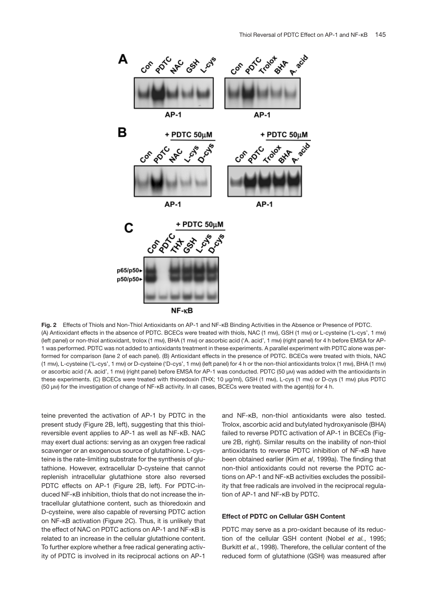

**Fig. 2** Effects of Thiols and Non-Thiol Antioxidants on AP-1 and NF-κB Binding Activities in the Absence or Presence of PDTC. (A) Antioxidant effects in the absence of PDTC. BCECs were treated with thiols, NAC (1 mM), GSH (1 mM) or L-cysteine ('L-cys', 1 mM) (left panel) or non-thiol antioxidant, trolox (1 mm), BHA (1 mm) or ascorbic acid ('A. acid', 1 mm) (right panel) for 4 h before EMSA for AP-1 was performed. PDTC was not added to antioxidants treatment in these experiments. A parallel experiment with PDTC alone was performed for comparison (lane 2 of each panel). (B) Antioxidant effects in the presence of PDTC. BCECs were treated with thiols, NAC (1 mM), L-cysteine ('L-cys', 1 mM) or D-cysteine ('D-cys', 1 mM) (left panel) for 4 h or the non-thiol antioxidants trolox (1 mM), BHA (1 mM) or ascorbic acid ('A. acid', 1 mM) (right panel) before EMSA for AP-1 was conducted. PDTC (50 µM) was added with the antioxidants in these experiments. (C) BCECs were treated with thioredoxin (THX; 10 µg/ml), GSH (1 mM), L-cys (1 mM) or D-cys (1 mM) plus PDTC (50 µM) for the investigation of change of NF-κB activity. In all cases, BCECs were treated with the agent(s) for 4 h.

teine prevented the activation of AP-1 by PDTC in the present study (Figure 2B, left), suggesting that this thiolreversible event applies to AP-1 as well as NF-κB. NAC may exert dual actions: serving as an oxygen free radical scavenger or an exogenous source of glutathione. L-cysteine is the rate-limiting substrate for the synthesis of glutathione. However, extracellular D-cysteine that cannot replenish intracellular glutathione store also reversed PDTC effects on AP-1 (Figure 2B, left). For PDTC-induced NF-κB inhibition, thiols that do not increase the intracellular glutathione content, such as thioredoxin and D-cysteine, were also capable of reversing PDTC action on NF-κB activation (Figure 2C). Thus, it is unlikely that the effect of NAC on PDTC actions on AP-1 and NF-κB is related to an increase in the cellular glutathione content. To further explore whether a free radical generating activity of PDTC is involved in its reciprocal actions on AP-1

and NF-κB, non-thiol antioxidants were also tested. Trolox, ascorbic acid and butylated hydroxyanisole (BHA) failed to reverse PDTC activation of AP-1 in BCECs (Figure 2B, right). Similar results on the inability of non-thiol antioxidants to reverse PDTC inhibition of NF-κB have been obtained earlier (Kim *et al*, 1999a). The finding that non-thiol antioxidants could not reverse the PDTC actions on AP-1 and NF-κB activities excludes the possibility that free radicals are involved in the reciprocal regulation of AP-1 and NF-κB by PDTC.

## **Effect of PDTC on Cellular GSH Content**

PDTC may serve as a pro-oxidant because of its reduction of the cellular GSH content (Nobel *et al.*, 1995; Burkitt *et al.*, 1998). Therefore, the cellular content of the reduced form of glutathione (GSH) was measured after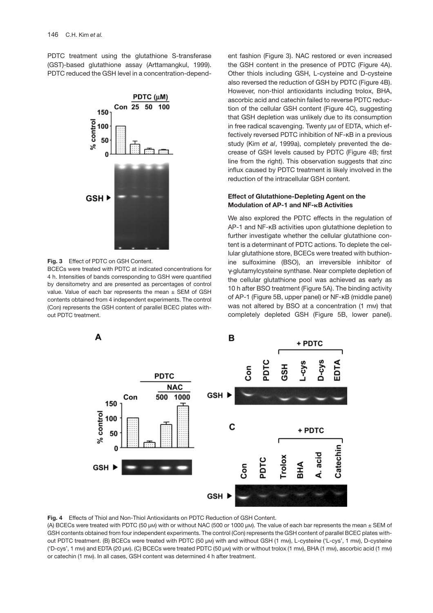PDTC treatment using the glutathione S-transferase (GST)-based glutathione assay (Arttamangkul, 1999). PDTC reduced the GSH level in a concentration-depend-



**Fig. 3** Effect of PDTC on GSH Content.

BCECs were treated with PDTC at indicated concentrations for 4 h. Intensities of bands corresponding to GSH were quantified by densitometry and are presented as percentages of control value. Value of each bar represents the mean  $\pm$  SEM of GSH contents obtained from 4 independent experiments. The control (Con) represents the GSH content of parallel BCEC plates without PDTC treatment.

ent fashion (Figure 3). NAC restored or even increased the GSH content in the presence of PDTC (Figure 4A). Other thiols including GSH, L-cysteine and D-cysteine also reversed the reduction of GSH by PDTC (Figure 4B). However, non-thiol antioxidants including trolox, BHA, ascorbic acid and catechin failed to reverse PDTC reduction of the cellular GSH content (Figure 4C), suggesting that GSH depletion was unlikely due to its consumption in free radical scavenging. Twenty um of EDTA, which effectively reversed PDTC inhibition of NF-κB in a previous study (Kim *et al*, 1999a), completely prevented the decrease of GSH levels caused by PDTC (Figure 4B; first line from the right). This observation suggests that zinc influx caused by PDTC treatment is likely involved in the reduction of the intracellular GSH content.

# **Effect of Glutathione-Depleting Agent on the Modulation of AP-1 and NF-**-**B Activities**

We also explored the PDTC effects in the regulation of AP-1 and NF-κB activities upon glutathione depletion to further investigate whether the cellular glutathione content is a determinant of PDTC actions. To deplete the cellular glutathione store, BCECs were treated with buthionine sulfoximine (BSO), an irreversible inhibitor of γ-glutamylcysteine synthase. Near complete depletion of the cellular glutathione pool was achieved as early as 10 h after BSO treatment (Figure 5A). The binding activity of AP-1 (Figure 5B, upper panel) or NF-κB (middle panel) was not altered by BSO at a concentration (1 mm) that completely depleted GSH (Figure 5B, lower panel).



**Fig. 4** Effects of Thiol and Non-Thiol Antioxidants on PDTC Reduction of GSH Content.

(A) BCECs were treated with PDTC (50 µM) with or without NAC (500 or 1000 µM). The value of each bar represents the mean ± SEM of GSH contents obtained from four independent experiments. The control (Con) represents the GSH content of parallel BCEC plates without PDTC treatment. (B) BCECs were treated with PDTC (50 µM) with and without GSH (1 mM), L-cysteine ('L-cys', 1 mM), D-cysteine ('D-cys', 1 mM) and EDTA (20 µM). (C) BCECs were treated PDTC (50 µM) with or without trolox (1 mM), BHA (1 mM), ascorbic acid (1 mM) or catechin (1 mM). In all cases, GSH content was determined 4 h after treatment.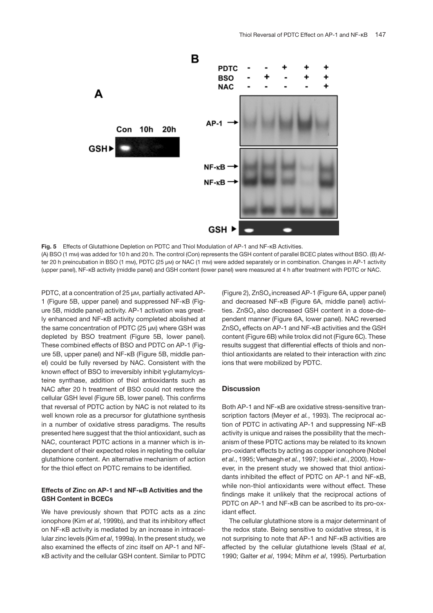

**Fig. 5** Effects of Glutathione Depletion on PDTC and Thiol Modulation of AP-1 and NF-κB Activities. (A) BSO (1 mM) was added for 10 h and 20 h. The control (Con) represents the GSH content of parallel BCEC plates without BSO. (B) After 20 h preincubation in BSO (1 mM), PDTC (25 µM) or NAC (1 mM) were added separately or in combination. Changes in AP-1 activity (upper panel), NF-κB activity (middle panel) and GSH content (lower panel) were measured at 4 h after treatment with PDTC or NAC.

PDTC, at a concentration of 25 µm, partially activated AP-1 (Figure 5B, upper panel) and suppressed NF-κB (Figure 5B, middle panel) activity. AP-1 activation was greatly enhanced and NF-κB activity completed abolished at the same concentration of PDTC (25 µM) where GSH was depleted by BSO treatment (Figure 5B, lower panel). These combined effects of BSO and PDTC on AP-1 (Figure 5B, upper panel) and NF-κB (Figure 5B, middle panel) could be fully reversed by NAC. Consistent with the known effect of BSO to irreversibly inhibit γ-glutamylcysteine synthase, addition of thiol antioxidants such as NAC after 20 h treatment of BSO could not restore the cellular GSH level (Figure 5B, lower panel). This confirms that reversal of PDTC action by NAC is not related to its well known role as a precursor for glutathione synthesis in a number of oxidative stress paradigms. The results presented here suggest that the thiol antioxidant, such as NAC, counteract PDTC actions in a manner which is independent of their expected roles in repleting the cellular glutathione content. An alternative mechanism of action for the thiol effect on PDTC remains to be identified.

#### **Effects of Zinc on AP-1 and NF-**-**B Activities and the GSH Content in BCECs**

We have previously shown that PDTC acts as a zinc ionophore (Kim *et al*, 1999b), and that its inhibitory effect on NF-κB activity is mediated by an increase in intracellular zinc levels (Kim *et al*, 1999a). In the present study, we also examined the effects of zinc itself on AP-1 and NFκB activity and the cellular GSH content. Similar to PDTC (Figure 2),  $ZnSO<sub>4</sub>$  increased AP-1 (Figure 6A, upper panel) and decreased NF-κB (Figure 6A, middle panel) activities.  $ZnSO<sub>4</sub>$  also decreased GSH content in a dose-dependent manner (Figure 6A, lower panel). NAC reversed  $ZnSO<sub>4</sub>$  effects on AP-1 and NF- $\kappa$ B activities and the GSH content (Figure 6B) while trolox did not (Figure 6C). These results suggest that differential effects of thiols and nonthiol antioxidants are related to their interaction with zinc ions that were mobilized by PDTC.

## **Discussion**

Both AP-1 and NF-κB are oxidative stress-sensitive transcription factors (Meyer *et al.*, 1993). The reciprocal action of PDTC in activating AP-1 and suppressing NF-κB activity is unique and raises the possibility that the mechanism of these PDTC actions may be related to its known pro-oxidant effects by acting as copper ionophore (Nobel *et al.*, 1995; Verhaegh *et al.*, 1997; Iseki *et al.*, 2000). However, in the present study we showed that thiol antioxidants inhibited the effect of PDTC on AP-1 and NF-κB, while non-thiol antioxidants were without effect. These findings make it unlikely that the reciprocal actions of PDTC on AP-1 and NF-κB can be ascribed to its pro-oxidant effect.

The cellular glutathione store is a major determinant of the redox state. Being sensitive to oxidative stress, it is not surprising to note that AP-1 and NF-κB activities are affected by the cellular glutathione levels (Staal *et al*, 1990; Galter *et al*, 1994; Mihm *et al*, 1995). Perturbation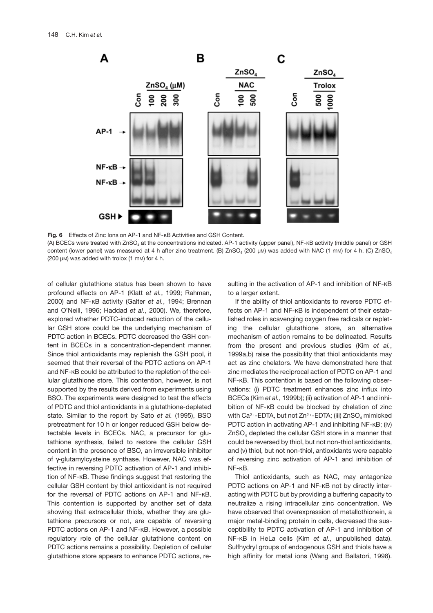

**Fig. 6** Effects of Zinc Ions on AP-1 and NF-κB Activities and GSH Content. (A) BCECs were treated with ZnSO<sub>4</sub> at the concentrations indicated. AP-1 activity (upper panel), NF-KB activity (middle panel) or GSH content (lower panel) was measured at 4 h after zinc treatment. (B)  $ZnSO_4$  (200 µM) was added with NAC (1 mM) for 4 h. (C)  $ZnSO_4$ (200 µM) was added with trolox (1 mM) for 4 h.

of cellular glutathione status has been shown to have profound effects on AP-1 (Klatt *et al.*, 1999; Rahman, 2000) and NF-κB activity (Galter *et al.*, 1994; Brennan and O'Neill, 1996; Haddad *et al.*, 2000). We, therefore, explored whether PDTC-induced reduction of the cellular GSH store could be the underlying mechanism of PDTC action in BCECs. PDTC decreased the GSH content in BCECs in a concentration-dependent manner. Since thiol antioxidants may replenish the GSH pool, it seemed that their reversal of the PDTC actions on AP-1 and NF-κB could be attributed to the repletion of the cellular glutathione store. This contention, however, is not supported by the results derived from experiments using BSO. The experiments were designed to test the effects of PDTC and thiol antioxidants in a glutathione-depleted state. Similar to the report by Sato *et al.* (1995), BSO pretreatment for 10 h or longer reduced GSH below detectable levels in BCECs. NAC, a precursor for glutathione synthesis, failed to restore the cellular GSH content in the presence of BSO, an irreversible inhibitor of γ-glutamylcysteine synthase. However, NAC was effective in reversing PDTC activation of AP-1 and inhibition of NF-κB. These findings suggest that restoring the cellular GSH content by thiol antioxidant is not required for the reversal of PDTC actions on AP-1 and NF-κB. This contention is supported by another set of data showing that extracellular thiols, whether they are glutathione precursors or not, are capable of reversing PDTC actions on AP-1 and NF-κB. However, a possible regulatory role of the cellular glutathione content on PDTC actions remains a possibility. Depletion of cellular glutathione store appears to enhance PDTC actions, re-

sulting in the activation of AP-1 and inhibition of NF-κB to a larger extent.

If the ability of thiol antioxidants to reverse PDTC effects on AP-1 and NF-κB is independent of their established roles in scavenging oxygen free radicals or repleting the cellular glutathione store, an alternative mechanism of action remains to be delineated. Results from the present and previous studies (Kim *et al.*, 1999a,b) raise the possibility that thiol antioxidants may act as zinc chelators. We have demonstrated here that zinc mediates the reciprocal action of PDTC on AP-1 and NF-κB. This contention is based on the following observations: (i) PDTC treatment enhances zinc influx into BCECs (Kim *et al.*, 1999b); (ii) activation of AP-1 and inhibition of NF-κB could be blocked by chelation of zinc with Ca<sup>2+</sup>-EDTA, but not Zn<sup>2+</sup>-EDTA; (iii) ZnSO<sub>4</sub> mimicked PDTC action in activating AP-1 and inhibiting NF-κB; (iv) ZnSO4 depleted the cellular GSH store in a manner that could be reversed by thiol, but not non-thiol antioxidants, and (v) thiol, but not non-thiol, antioxidants were capable of reversing zinc activation of AP-1 and inhibition of NF-κB.

Thiol antioxidants, such as NAC, may antagonize PDTC actions on AP-1 and NF-κB not by directly interacting with PDTC but by providing a buffering capacity to neutralize a rising intracellular zinc concentration. We have observed that overexpression of metallothionein, a major metal-binding protein in cells, decreased the susceptibility to PDTC activation of AP-1 and inhibition of NF-κB in HeLa cells (Kim *et al.*, unpublished data). Sulfhydryl groups of endogenous GSH and thiols have a high affinity for metal ions (Wang and Ballatori, 1998).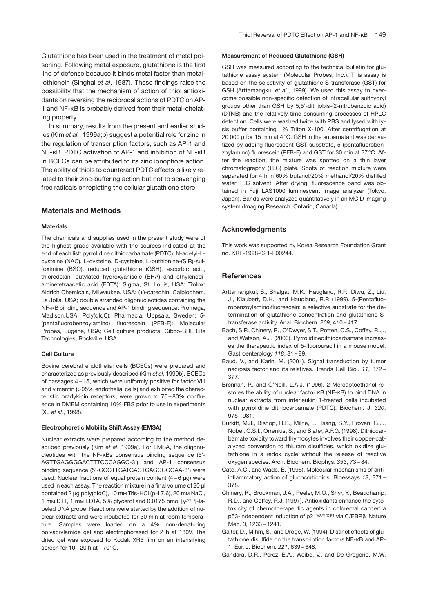In summary, results from the present and earlier studies (Kim *et al.*, 1999a;b) suggest a potential role for zinc in the regulation of transcription factors, such as AP-1 and NF-κB. PDTC activation of AP-1 and inhibition of NF-κB in BCECs can be attributed to its zinc ionophore action. The ability of thiols to counteract PDTC effects is likely related to their zinc-buffering action but not to scavenging free radicals or repleting the cellular glutathione store.

#### **Materials and Methods**

#### **Materials**

ing property.

The chemicals and supplies used in the present study were of the highest grade available with the sources indicated at the end of each list: pyrrolidine dithiocarbamate (PDTC), N-acetyl-Lcysteine (NAC), L-cysteine, D-cysteine, L-buthionine-(S,R)-sulfoximine (BSO), reduced glutathione (GSH), ascorbic acid, thioredoxin, butylated hydroxyanisole (BHA) and ethylenediaminetetraacetic acid (EDTA): Sigma, St. Louis, USA; Trolox: Aldrich Chemicals, Milwaukee, USA; (+)-catechin: Calbiochem, La Jolla, USA; double stranded oligonucleotides containing the NF-κB binding sequence and AP-1 binding sequence: Promega, Madison,USA; Poly(dIdC): Pharmacia, Uppsala, Sweden; 5- (pentafluorobenzoylamino) fluorescein (PFB-F): Molecular Probes, Eugene, USA; Cell culture products: Gibco-BRL Life Technologies, Rockville, USA.

#### **Cell Culture**

Bovine cerebral endothelial cells (BCECs) were prepared and characterized as previously described (Kim *et al*, 1999b). BCECs of passages 4 – 15, which were uniformly positive for factor VIII and vimentin (>95% endothelial cells) and exhibited the characteristic bradykinin receptors, were grown to 70 – 80% confluence in DMEM containing 10% FBS prior to use in experiments (Xu *et al.*, 1998).

#### **Electrophoretic Mobility Shift Assay (EMSA)**

Nuclear extracts were prepared according to the method described previously (Kim *et al*, 1999a). For EMSA, the oligonucleotides with the NF-κBs consensus binding sequence (5'- AGTTGAGGGGACTTTCCCAGGC-3') and AP-1 consensus binding sequence (5'-CGCTTGATGACTCAGCCGGAA-3') were used. Nuclear fractions of equal protein content  $(4 - 6 \mu g)$  were used in each assay. The reaction mixture in a final volume of 20 µl contained 2 µg poly(dIdC), 10 mm Tris-HCl (pH 7.6), 20 mm NaCl, 1 mm DTT, 1 mm EDTA, 5% glycerol and 0.0175 pmol [γ-32P]-labeled DNA probe. Reactions were started by the addition of nuclear extracts and were incubated for 30 min at room temperature. Samples were loaded on a 4% non-denaturing polyacrylamide gel and electrophoresed for 2 h at 180V. The dried gel was exposed to Kodak XR5 film on an intensifying screen for  $10 - 20$  h at  $-70$  °C.

#### **Measurement of Reduced Glutathione (GSH)**

GSH was measured according to the technical bulletin for glutathione assay system (Molecular Probes, Inc.). This assay is based on the selectivity of glutathione S-transferase (GST) for GSH (Arttamangkul *et al.*, 1999). We used this assay to overcome possible non-specific detection of intracellular sulfhydryl groups other than GSH by 5,5'-dithiobis-(2-nitrobenzoic acid) (DTNB) and the relatively time-consuming processes of HPLC detection. Cells were washed twice with PBS and lysed with lysis buffer containing 1% Triton X-100. After centrifugation at 20 000 *g* for 15 min at 4°C, GSH in the supernatant was derivatized by adding fluorescent GST substrate, 5-(pentafluorobenzoylamino) fluorescein (PFB-F) and GST for 30 min at 37°C. After the reaction, the mixture was spotted on a thin layer chromatography (TLC) plate. Spots of reaction mixture were separated for 4 h in 60% butanol/20% methanol/20% distilled water TLC solvent. After drying, fluorescence band was obtained in Fuji LAS1000 luminescent image analyzer (Tokyo, Japan). Bands were analyzed quantitatively in an MCID imaging system (Imaging Research, Ontario, Canada).

## **Acknowledgments**

This work was supported by Korea Research Foundation Grant no. KRF-1998-021-F00244.

## **References**

- Arttamangkul, S., Bhalgat, M.K., Haugland, R.P., Diwu, Z., Liu, J., Klaubert, D.H., and Haugland, R.P. (1999). 5-(Pentafluorobenzoylamino)fluorescein: a selective substrate for the determination of glutathione concentration and glutathione Stransferase activity. Anal. Biochem. *269*, 410 – 417.
- Bach, S.P., Chinery, R., O'Dwyer, S.T., Potten, C.S., Coffey, R.J., and Watson, A.J. (2000). Pyrrolidinedithiocarbamate increases the therapeutic index of 5-fluorouracil in a mouse model. Gastroenterology *118*, 81 – 89.
- Baud, V., and Karin, M. (2001). Signal transduction by tumor necrosis factor and its relatives. Trends Cell Biol. *11*, 372 – 377.
- Brennan, P., and O'Neill, L.A.J. (1996). 2-Mercaptoethanol restores the ability of nuclear factor κB (NF-κB) to bind DNA in nuclear extracts from interleukin 1-treated cells incubated with pyrrolidine dithiocarbamate (PDTC). Biochem. J. *320*, 975 – 981.
- Burkitt, M.J., Bishop, H.S., Milne, L., Tsang, S.Y., Provan, G.J., Nobel, C.S.I., Orrenius, S., and Slater, A.F.G. (1998). Dithiocarbamate toxicity toward thymocytes involves their copper-catalyzed conversion to thiuram disulfides, which oxidize glutathione in a redox cycle without the release of reactive oxygen species. Arch. Biochem. Biophys. *353*, 73 – 84.
- Cato, A.C., and Wade, E. (1996). Molecular mechanisms of antiinflammatory action of glucocorticoids. Bioessays *18*, 371 – 378.
- Chinery, R., Brockman, J.A., Peeler, M.O., Shyr, Y., Beauchamp, R.D., and Coffey, R.J. (1997). Antioxidants enhance the cytotoxicity of chemotherapeutic agents in colorectal cancer: a p53-independent induction of p21WAF1/CIP1 via C/EBPβ. Nature Med. *3*, 1233 – 1241.
- Galter, D., Mihm, S., and Dröge, W. (1994). Distinct effects of glutathione disulfide on the transcription factors NF-κB and AP-1. Eur. J. Biochem. *221*, 639 – 648.
- Gandara, D.R., Perez, E.A., Weibe, V., and De Gregorio, M.W.